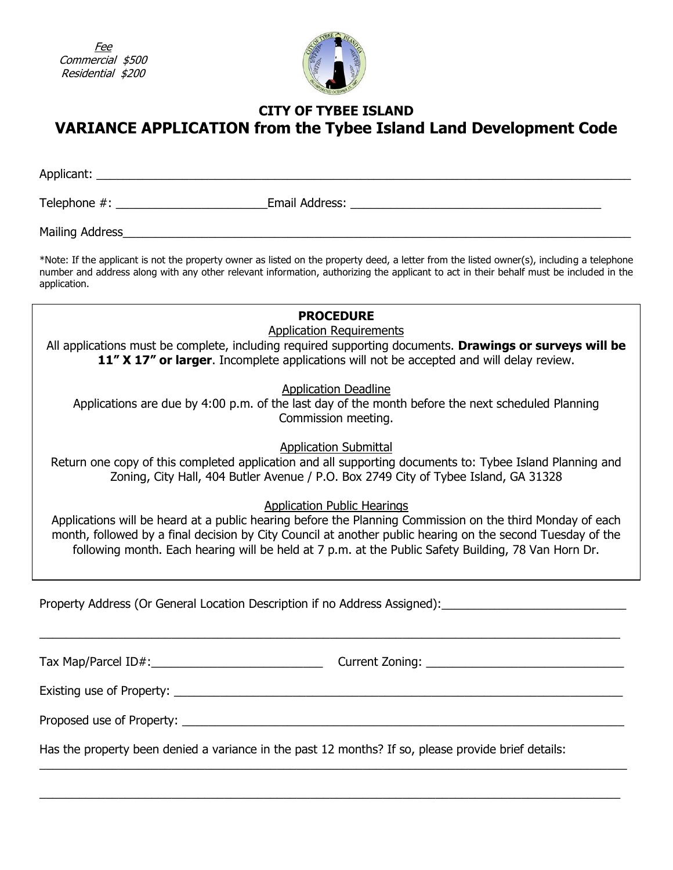Fee Commercial \$500 Residential \$200



## **CITY OF TYBEE ISLAND VARIANCE APPLICATION from the Tybee Island Land Development Code**

Applicant: \_\_\_\_\_\_\_\_\_\_\_\_\_\_\_\_\_\_\_\_\_\_\_\_\_\_\_\_\_\_\_\_\_\_\_\_\_\_\_\_\_\_\_\_\_\_\_\_\_\_\_\_\_\_\_\_\_\_\_\_\_\_\_\_\_\_\_\_\_\_\_\_\_\_\_\_\_\_\_\_\_

Telephone #: \_\_\_\_\_\_\_\_\_\_\_\_\_\_\_\_\_\_\_\_\_\_\_Email Address: \_\_\_\_\_\_\_\_\_\_\_\_\_\_\_\_\_\_\_\_\_\_\_\_\_\_\_\_\_\_\_\_\_\_\_\_\_\_

Mailing Address\_\_\_\_\_\_\_\_\_\_\_\_\_\_\_\_\_\_\_\_\_\_\_\_\_\_\_\_\_\_\_\_\_\_\_\_\_\_\_\_\_\_\_\_\_\_\_\_\_\_\_\_\_\_\_\_\_\_\_\_\_\_\_\_\_\_\_\_\_\_\_\_\_\_\_\_\_

\*Note: If the applicant is not the property owner as listed on the property deed, a letter from the listed owner(s), including a telephone number and address along with any other relevant information, authorizing the applicant to act in their behalf must be included in the application.

| <b>PROCEDURE</b><br><b>Application Requirements</b><br>All applications must be complete, including required supporting documents. Drawings or surveys will be<br>11" X 17" or larger. Incomplete applications will not be accepted and will delay review.                                                                                                           |  |  |  |  |  |
|----------------------------------------------------------------------------------------------------------------------------------------------------------------------------------------------------------------------------------------------------------------------------------------------------------------------------------------------------------------------|--|--|--|--|--|
| <b>Application Deadline</b><br>Applications are due by 4:00 p.m. of the last day of the month before the next scheduled Planning<br>Commission meeting.                                                                                                                                                                                                              |  |  |  |  |  |
| <b>Application Submittal</b><br>Return one copy of this completed application and all supporting documents to: Tybee Island Planning and<br>Zoning, City Hall, 404 Butler Avenue / P.O. Box 2749 City of Tybee Island, GA 31328                                                                                                                                      |  |  |  |  |  |
| <b>Application Public Hearings</b><br>Applications will be heard at a public hearing before the Planning Commission on the third Monday of each<br>month, followed by a final decision by City Council at another public hearing on the second Tuesday of the<br>following month. Each hearing will be held at 7 p.m. at the Public Safety Building, 78 Van Horn Dr. |  |  |  |  |  |
| Property Address (Or General Location Description if no Address Assigned):                                                                                                                                                                                                                                                                                           |  |  |  |  |  |
| Existing use of Property: North Contract Contract of Property:                                                                                                                                                                                                                                                                                                       |  |  |  |  |  |
| Proposed use of Property:                                                                                                                                                                                                                                                                                                                                            |  |  |  |  |  |

Has the property been denied a variance in the past 12 months? If so, please provide brief details:

\_\_\_\_\_\_\_\_\_\_\_\_\_\_\_\_\_\_\_\_\_\_\_\_\_\_\_\_\_\_\_\_\_\_\_\_\_\_\_\_\_\_\_\_\_\_\_\_\_\_\_\_\_\_\_\_\_\_\_\_\_\_\_\_\_\_\_\_\_\_\_\_\_\_\_\_\_\_\_\_\_\_\_\_\_\_\_\_\_

 $\_$  , and the set of the set of the set of the set of the set of the set of the set of the set of the set of the set of the set of the set of the set of the set of the set of the set of the set of the set of the set of th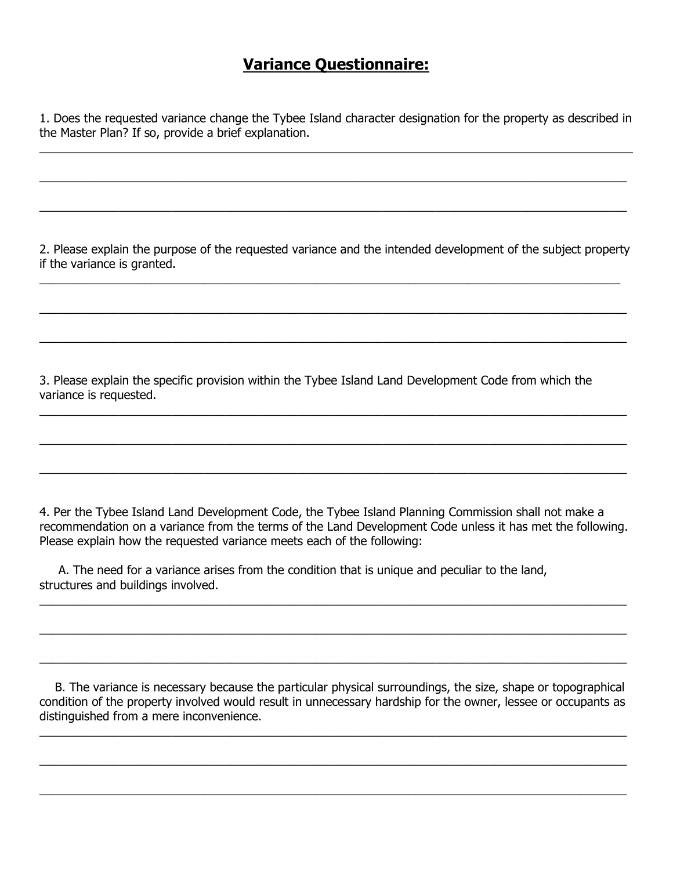# **Variance Questionnaire:**

1. Does the requested variance change the Tybee Island character designation for the property as described in the Master Plan? If so, provide a brief explanation.

 $\_$  , and the contribution of the contribution of the contribution of the contribution of  $\mathcal{L}_\mathcal{A}$ 

 $\_$  , and the set of the set of the set of the set of the set of the set of the set of the set of the set of the set of the set of the set of the set of the set of the set of the set of the set of the set of the set of th

 $\_$  , and the set of the set of the set of the set of the set of the set of the set of the set of the set of the set of the set of the set of the set of the set of the set of the set of the set of the set of the set of th

2. Please explain the purpose of the requested variance and the intended development of the subject property if the variance is granted.

 $\_$  , and the set of the set of the set of the set of the set of the set of the set of the set of the set of the set of the set of the set of the set of the set of the set of the set of the set of the set of the set of th

 $\_$  , and the set of the set of the set of the set of the set of the set of the set of the set of the set of the set of the set of the set of the set of the set of the set of the set of the set of the set of the set of th

 $\_$  , and the set of the set of the set of the set of the set of the set of the set of the set of the set of the set of the set of the set of the set of the set of the set of the set of the set of the set of the set of th

 $\_$  , and the set of the set of the set of the set of the set of the set of the set of the set of the set of the set of the set of the set of the set of the set of the set of the set of the set of the set of the set of th

 $\_$  , and the set of the set of the set of the set of the set of the set of the set of the set of the set of the set of the set of the set of the set of the set of the set of the set of the set of the set of the set of th

\_\_\_\_\_\_\_\_\_\_\_\_\_\_\_\_\_\_\_\_\_\_\_\_\_\_\_\_\_\_\_\_\_\_\_\_\_\_\_\_\_\_\_\_\_\_\_\_\_\_\_\_\_\_\_\_\_\_\_\_\_\_\_\_\_\_\_\_\_\_\_\_\_\_\_\_\_\_\_\_\_\_\_\_\_\_\_\_\_

3. Please explain the specific provision within the Tybee Island Land Development Code from which the variance is requested.

4. Per the Tybee Island Land Development Code, the Tybee Island Planning Commission shall not make a recommendation on a variance from the terms of the Land Development Code unless it has met the following. Please explain how the requested variance meets each of the following:

 $\_$  , and the set of the set of the set of the set of the set of the set of the set of the set of the set of the set of the set of the set of the set of the set of the set of the set of the set of the set of the set of th

 $\_$  , and the set of the set of the set of the set of the set of the set of the set of the set of the set of the set of the set of the set of the set of the set of the set of the set of the set of the set of the set of th

 $\_$  , and the set of the set of the set of the set of the set of the set of the set of the set of the set of the set of the set of the set of the set of the set of the set of the set of the set of the set of the set of th

 A. The need for a variance arises from the condition that is unique and peculiar to the land, structures and buildings involved.

 B. The variance is necessary because the particular physical surroundings, the size, shape or topographical condition of the property involved would result in unnecessary hardship for the owner, lessee or occupants as distinguished from a mere inconvenience.

 $\_$  , and the set of the set of the set of the set of the set of the set of the set of the set of the set of the set of the set of the set of the set of the set of the set of the set of the set of the set of the set of th

 $\_$  , and the set of the set of the set of the set of the set of the set of the set of the set of the set of the set of the set of the set of the set of the set of the set of the set of the set of the set of the set of th

 $\_$  , and the set of the set of the set of the set of the set of the set of the set of the set of the set of the set of the set of the set of the set of the set of the set of the set of the set of the set of the set of th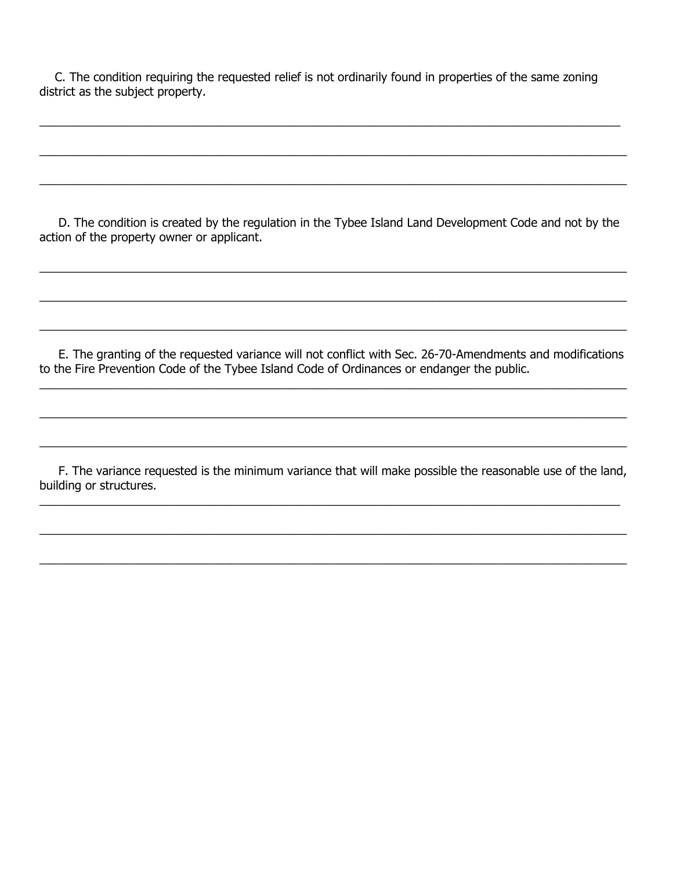C. The condition requiring the requested relief is not ordinarily found in properties of the same zoning district as the subject property.

 $\_$  , and the set of the set of the set of the set of the set of the set of the set of the set of the set of the set of the set of the set of the set of the set of the set of the set of the set of the set of the set of th

 $\_$  , and the set of the set of the set of the set of the set of the set of the set of the set of the set of the set of the set of the set of the set of the set of the set of the set of the set of the set of the set of th

\_\_\_\_\_\_\_\_\_\_\_\_\_\_\_\_\_\_\_\_\_\_\_\_\_\_\_\_\_\_\_\_\_\_\_\_\_\_\_\_\_\_\_\_\_\_\_\_\_\_\_\_\_\_\_\_\_\_\_\_\_\_\_\_\_\_\_\_\_\_\_\_\_\_\_\_\_\_\_\_\_\_\_\_\_\_\_\_\_

 D. The condition is created by the regulation in the Tybee Island Land Development Code and not by the action of the property owner or applicant.

 $\_$  , and the set of the set of the set of the set of the set of the set of the set of the set of the set of the set of the set of the set of the set of the set of the set of the set of the set of the set of the set of th

 $\_$  , and the set of the set of the set of the set of the set of the set of the set of the set of the set of the set of the set of the set of the set of the set of the set of the set of the set of the set of the set of th

\_\_\_\_\_\_\_\_\_\_\_\_\_\_\_\_\_\_\_\_\_\_\_\_\_\_\_\_\_\_\_\_\_\_\_\_\_\_\_\_\_\_\_\_\_\_\_\_\_\_\_\_\_\_\_\_\_\_\_\_\_\_\_\_\_\_\_\_\_\_\_\_\_\_\_\_\_\_\_\_\_\_\_\_\_\_\_\_\_

 E. The granting of the requested variance will not conflict with Sec. 26-70-Amendments and modifications to the Fire Prevention Code of the Tybee Island Code of Ordinances or endanger the public.

 $\_$  , and the set of the set of the set of the set of the set of the set of the set of the set of the set of the set of the set of the set of the set of the set of the set of the set of the set of the set of the set of th

 $\_$  , and the set of the set of the set of the set of the set of the set of the set of the set of the set of the set of the set of the set of the set of the set of the set of the set of the set of the set of the set of th

 $\_$  , and the set of the set of the set of the set of the set of the set of the set of the set of the set of the set of the set of the set of the set of the set of the set of the set of the set of the set of the set of th

 F. The variance requested is the minimum variance that will make possible the reasonable use of the land, building or structures.

 $\_$  , and the set of the set of the set of the set of the set of the set of the set of the set of the set of the set of the set of the set of the set of the set of the set of the set of the set of the set of the set of th

 $\_$  , and the set of the set of the set of the set of the set of the set of the set of the set of the set of the set of the set of the set of the set of the set of the set of the set of the set of the set of the set of th

 $\_$  , and the set of the set of the set of the set of the set of the set of the set of the set of the set of the set of the set of the set of the set of the set of the set of the set of the set of the set of the set of th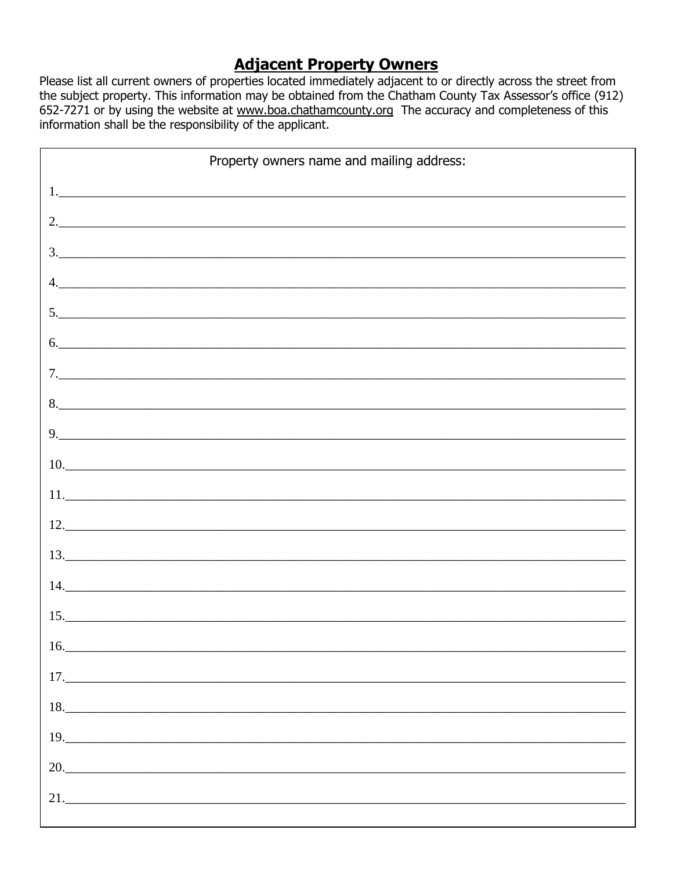# **Adjacent Property Owners**

Please list all current owners of properties located immediately adjacent to or directly across the street from the subject property. This information may be obtained from the Chatham County Tax Assessor's office (912) 652-7271 or by using the website at www.boa.chathamcounty.org The accuracy and completeness of this information shall be the responsibility of the applicant.

| Property owners name and mailing address:                                  |  |  |  |  |
|----------------------------------------------------------------------------|--|--|--|--|
|                                                                            |  |  |  |  |
| 2.                                                                         |  |  |  |  |
|                                                                            |  |  |  |  |
|                                                                            |  |  |  |  |
| 5.                                                                         |  |  |  |  |
| 6.                                                                         |  |  |  |  |
|                                                                            |  |  |  |  |
|                                                                            |  |  |  |  |
| $\begin{array}{c} \n9. \quad \textcolor{blue}{\textbf{5.333}} \end{array}$ |  |  |  |  |
| 10.                                                                        |  |  |  |  |
| 11.                                                                        |  |  |  |  |
| $12.$ $\overline{\phantom{a}}$                                             |  |  |  |  |
| 13.                                                                        |  |  |  |  |
| 14.                                                                        |  |  |  |  |
|                                                                            |  |  |  |  |
| 16.                                                                        |  |  |  |  |
|                                                                            |  |  |  |  |
|                                                                            |  |  |  |  |
| 19.                                                                        |  |  |  |  |
| 20.                                                                        |  |  |  |  |
|                                                                            |  |  |  |  |
|                                                                            |  |  |  |  |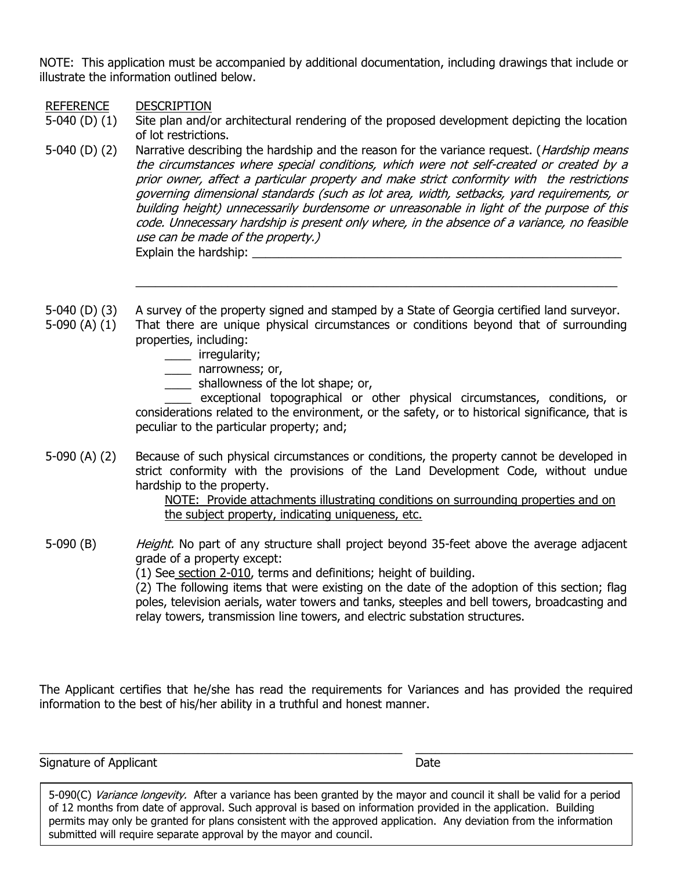NOTE: This application must be accompanied by additional documentation, including drawings that include or illustrate the information outlined below.

REFERENCE DESCRIPTION

- 5-040 (D) (1) Site plan and/or architectural rendering of the proposed development depicting the location of lot restrictions.
- 5-040 (D) (2) Narrative describing the hardship and the reason for the variance request. (*Hardship means* the circumstances where special conditions, which were not self-created or created by a prior owner, affect a particular property and make strict conformity with the restrictions governing dimensional standards (such as lot area, width, setbacks, yard requirements, or building height) unnecessarily burdensome or unreasonable in light of the purpose of this code. Unnecessary hardship is present only where, in the absence of a variance, no feasible use can be made of the property.) Explain the hardship:
- 5-040 (D) (3) A survey of the property signed and stamped by a State of Georgia certified land surveyor.
- 5-090 (A) (1) That there are unique physical circumstances or conditions beyond that of surrounding properties, including:
	- \_\_\_\_ irregularity;
	- \_\_\_\_ narrowness; or,
	- \_\_\_\_ shallowness of the lot shape; or,

\_\_\_\_ exceptional topographical or other physical circumstances, conditions, or considerations related to the environment, or the safety, or to historical significance, that is peculiar to the particular property; and;

 $\_$  , and the set of the set of the set of the set of the set of the set of the set of the set of the set of the set of the set of the set of the set of the set of the set of the set of the set of the set of the set of th

5-090 (A) (2) Because of such physical circumstances or conditions, the property cannot be developed in strict conformity with the provisions of the Land Development Code, without undue hardship to the property.

> NOTE: Provide attachments illustrating conditions on surrounding properties and on the subject property, indicating uniqueness, etc.

5-090 (B) Height. No part of any structure shall project beyond 35-feet above the average adjacent grade of a property except: (1) See [section 2-010,](https://library.municode.com/ga/tybee_island/codes/code_of_ordinances?nodeId=PTIICOOR_APXALADECO_ART2DE_S2-010TEDE) terms and definitions; height of building. (2) The following items that were existing on the date of the adoption of this section; flag poles, television aerials, water towers and tanks, steeples and bell towers, broadcasting and relay towers, transmission line towers, and electric substation structures.

The Applicant certifies that he/she has read the requirements for Variances and has provided the required information to the best of his/her ability in a truthful and honest manner.

 $\_$  ,  $\_$  ,  $\_$  ,  $\_$  ,  $\_$  ,  $\_$  ,  $\_$  ,  $\_$  ,  $\_$  ,  $\_$  ,  $\_$  ,  $\_$  ,  $\_$  ,  $\_$  ,  $\_$  ,  $\_$  ,  $\_$  ,  $\_$  ,  $\_$  ,  $\_$  ,  $\_$  ,  $\_$  ,  $\_$  ,  $\_$  ,  $\_$  ,  $\_$  ,  $\_$  ,  $\_$  ,  $\_$  ,  $\_$  ,  $\_$  ,  $\_$  ,  $\_$  ,  $\_$  ,  $\_$  ,  $\_$  ,  $\_$  ,

Signature of Applicant Date **Date** 

5-090(C) Variance longevity. After a variance has been granted by the mayor and council it shall be valid for a period of 12 months from date of approval. Such approval is based on information provided in the application. Building permits may only be granted for plans consistent with the approved application. Any deviation from the information submitted will require separate approval by the mayor and council.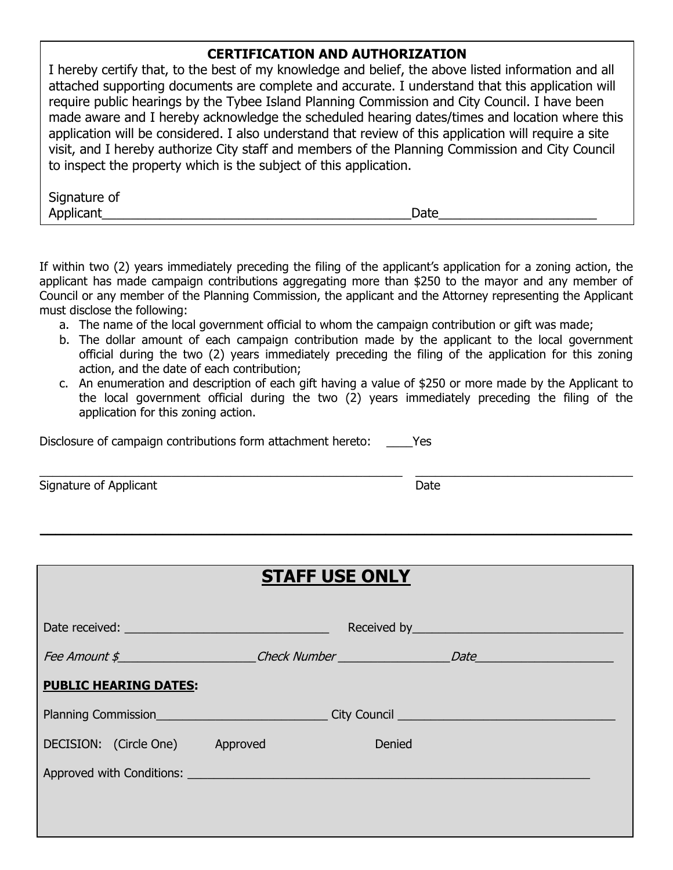### **CERTIFICATION AND AUTHORIZATION**

I hereby certify that, to the best of my knowledge and belief, the above listed information and all attached supporting documents are complete and accurate. I understand that this application will require public hearings by the Tybee Island Planning Commission and City Council. I have been made aware and I hereby acknowledge the scheduled hearing dates/times and location where this application will be considered. I also understand that review of this application will require a site visit, and I hereby authorize City staff and members of the Planning Commission and City Council to inspect the property which is the subject of this application.

| Signature of |      |
|--------------|------|
| Applicant    | Date |

If within two (2) years immediately preceding the filing of the applicant's application for a zoning action, the applicant has made campaign contributions aggregating more than \$250 to the mayor and any member of Council or any member of the Planning Commission, the applicant and the Attorney representing the Applicant must disclose the following:

- a. The name of the local government official to whom the campaign contribution or gift was made;
- b. The dollar amount of each campaign contribution made by the applicant to the local government official during the two (2) years immediately preceding the filing of the application for this zoning action, and the date of each contribution;
- c. An enumeration and description of each gift having a value of \$250 or more made by the Applicant to the local government official during the two (2) years immediately preceding the filing of the application for this zoning action.

 $\_$  ,  $\_$  ,  $\_$  ,  $\_$  ,  $\_$  ,  $\_$  ,  $\_$  ,  $\_$  ,  $\_$  ,  $\_$  ,  $\_$  ,  $\_$  ,  $\_$  ,  $\_$  ,  $\_$  ,  $\_$  ,  $\_$  ,  $\_$  ,  $\_$  ,  $\_$  ,  $\_$  ,  $\_$  ,  $\_$  ,  $\_$  ,  $\_$  ,  $\_$  ,  $\_$  ,  $\_$  ,  $\_$  ,  $\_$  ,  $\_$  ,  $\_$  ,  $\_$  ,  $\_$  ,  $\_$  ,  $\_$  ,  $\_$  ,

 $\mathcal{L}_\mathcal{L} = \mathcal{L}_\mathcal{L} = \mathcal{L}_\mathcal{L} = \mathcal{L}_\mathcal{L} = \mathcal{L}_\mathcal{L} = \mathcal{L}_\mathcal{L} = \mathcal{L}_\mathcal{L} = \mathcal{L}_\mathcal{L} = \mathcal{L}_\mathcal{L} = \mathcal{L}_\mathcal{L} = \mathcal{L}_\mathcal{L} = \mathcal{L}_\mathcal{L} = \mathcal{L}_\mathcal{L} = \mathcal{L}_\mathcal{L} = \mathcal{L}_\mathcal{L} = \mathcal{L}_\mathcal{L} = \mathcal{L}_\mathcal{L}$ 

Disclosure of campaign contributions form attachment hereto: \_\_\_\_Yes

Signature of Applicant **Date** 

| <b>STAFF USE ONLY</b>                                                                                                                                                                                                          |  |        |  |  |  |  |
|--------------------------------------------------------------------------------------------------------------------------------------------------------------------------------------------------------------------------------|--|--------|--|--|--|--|
| Date received: National Contract of the Contract of the Contract of the Contract of the Contract of the Contract of the Contract of the Contract of the Contract of the Contract of the Contract of the Contract of the Contra |  |        |  |  |  |  |
|                                                                                                                                                                                                                                |  |        |  |  |  |  |
| <b>PUBLIC HEARING DATES:</b>                                                                                                                                                                                                   |  |        |  |  |  |  |
|                                                                                                                                                                                                                                |  |        |  |  |  |  |
| DECISION: (Circle One) Approved                                                                                                                                                                                                |  | Denied |  |  |  |  |
|                                                                                                                                                                                                                                |  |        |  |  |  |  |
|                                                                                                                                                                                                                                |  |        |  |  |  |  |
|                                                                                                                                                                                                                                |  |        |  |  |  |  |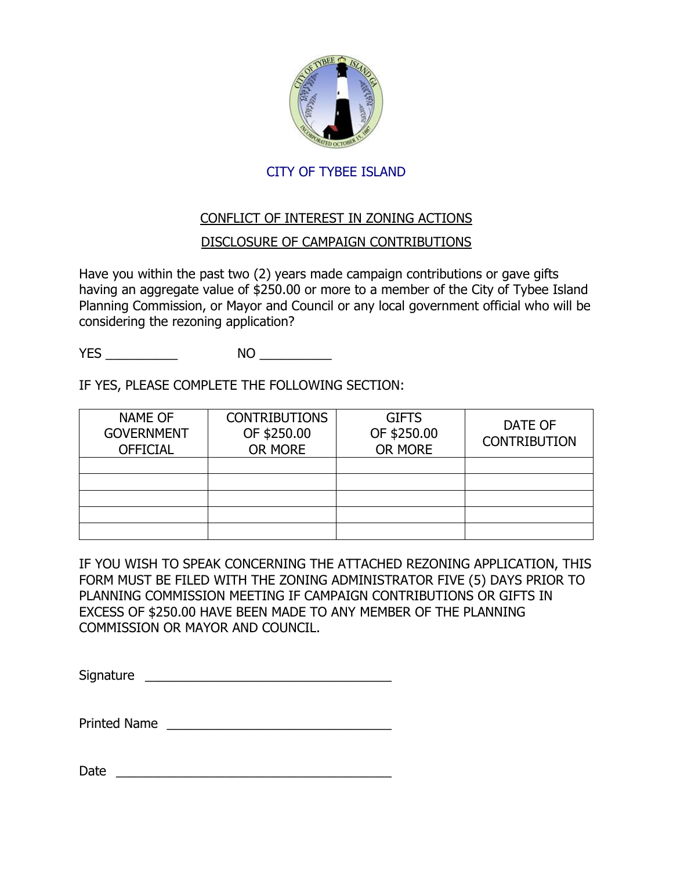

#### CITY OF TYBEE ISLAND

### CONFLICT OF INTEREST IN ZONING ACTIONS

#### DISCLOSURE OF CAMPAIGN CONTRIBUTIONS

Have you within the past two (2) years made campaign contributions or gave gifts having an aggregate value of \$250.00 or more to a member of the City of Tybee Island Planning Commission, or Mayor and Council or any local government official who will be considering the rezoning application?

YES \_\_\_\_\_\_\_\_\_\_ NO \_\_\_\_\_\_\_\_\_\_

IF YES, PLEASE COMPLETE THE FOLLOWING SECTION:

| <b>NAME OF</b><br><b>GOVERNMENT</b><br><b>OFFICIAL</b> | <b>CONTRIBUTIONS</b><br>OF \$250.00<br>OR MORE | <b>GIFTS</b><br>OF \$250.00<br>OR MORE | DATE OF<br><b>CONTRIBUTION</b> |
|--------------------------------------------------------|------------------------------------------------|----------------------------------------|--------------------------------|
|                                                        |                                                |                                        |                                |
|                                                        |                                                |                                        |                                |
|                                                        |                                                |                                        |                                |
|                                                        |                                                |                                        |                                |
|                                                        |                                                |                                        |                                |

IF YOU WISH TO SPEAK CONCERNING THE ATTACHED REZONING APPLICATION, THIS FORM MUST BE FILED WITH THE ZONING ADMINISTRATOR FIVE (5) DAYS PRIOR TO PLANNING COMMISSION MEETING IF CAMPAIGN CONTRIBUTIONS OR GIFTS IN EXCESS OF \$250.00 HAVE BEEN MADE TO ANY MEMBER OF THE PLANNING COMMISSION OR MAYOR AND COUNCIL.

Signature \_\_\_\_\_\_\_\_\_\_\_\_\_\_\_\_\_\_\_\_\_\_\_\_\_\_\_\_\_\_\_\_\_\_

Printed Name \_\_\_\_\_\_\_\_\_\_\_\_\_\_\_\_\_\_\_\_\_\_\_\_\_\_\_\_\_\_\_

 $Date$